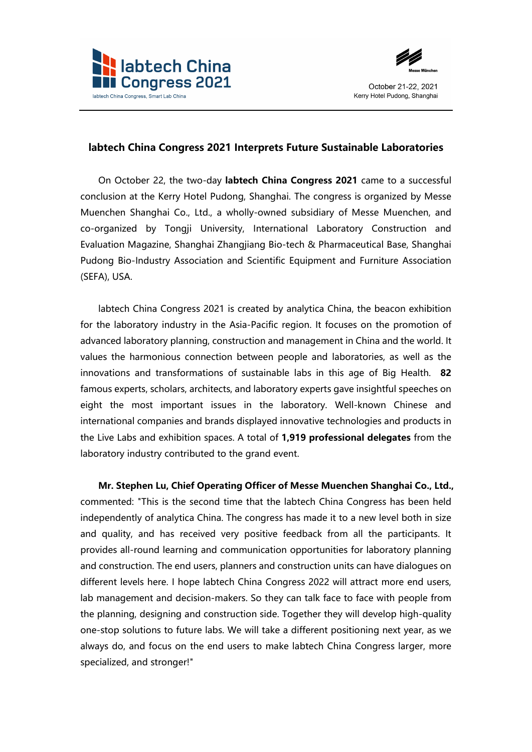



## **labtech China Congress 2021 Interprets Future Sustainable Laboratories**

On October 22, the two-day **labtech China Congress 2021** came to a successful conclusion at the Kerry Hotel Pudong, Shanghai. The congress is organized by Messe Muenchen Shanghai Co., Ltd., a wholly-owned subsidiary of Messe Muenchen, and co-organized by Tongji University, International Laboratory Construction and Evaluation Magazine, Shanghai Zhangjiang Bio-tech & Pharmaceutical Base, Shanghai Pudong Bio-Industry Association and Scientific Equipment and Furniture Association (SEFA), USA.

labtech China Congress 2021 is created by analytica China, the beacon exhibition for the laboratory industry in the Asia-Pacific region. It focuses on the promotion of advanced laboratory planning, construction and management in China and the world. It values the harmonious connection between people and laboratories, as well as the innovations and transformations of sustainable labs in this age of Big Health. **82** famous experts, scholars, architects, and laboratory experts gave insightful speeches on eight the most important issues in the laboratory. Well-known Chinese and international companies and brands displayed innovative technologies and products in the Live Labs and exhibition spaces. A total of **1,919 professional delegates** from the laboratory industry contributed to the grand event.

**Mr. Stephen Lu, Chief Operating Officer of Messe Muenchen Shanghai Co., Ltd.,**  commented: "This is the second time that the labtech China Congress has been held independently of analytica China. The congress has made it to a new level both in size and quality, and has received very positive feedback from all the participants. It provides all-round learning and communication opportunities for laboratory planning and construction. The end users, planners and construction units can have dialogues on different levels here. I hope labtech China Congress 2022 will attract more end users, lab management and decision-makers. So they can talk face to face with people from the planning, designing and construction side. Together they will develop high-quality one-stop solutions to future labs. We will take a different positioning next year, as we always do, and focus on the end users to make labtech China Congress larger, more specialized, and stronger!"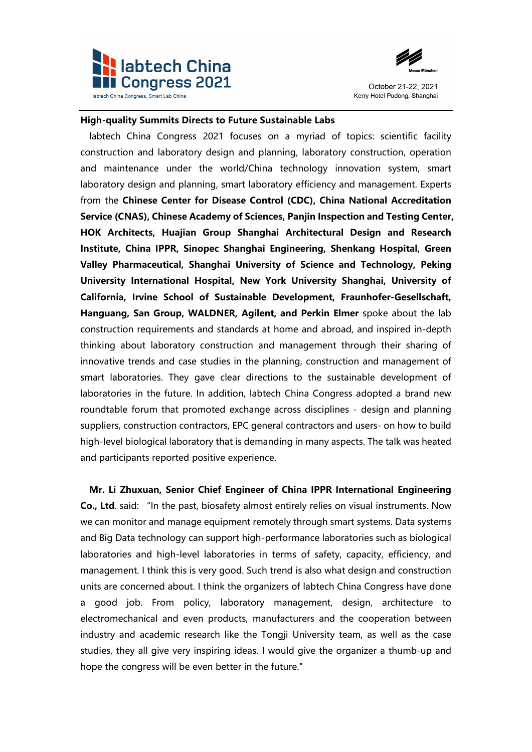



## **High-quality Summits Directs to Future Sustainable Labs**

labtech China Congress 2021 focuses on a myriad of topics: scientific facility construction and laboratory design and planning, laboratory construction, operation and maintenance under the world/China technology innovation system, smart laboratory design and planning, smart laboratory efficiency and management. Experts from the **Chinese Center for Disease Control (CDC), China National Accreditation Service (CNAS), Chinese Academy of Sciences, Panjin Inspection and Testing Center, HOK Architects, Huajian Group Shanghai Architectural Design and Research Institute, China IPPR, Sinopec Shanghai Engineering, Shenkang Hospital, Green Valley Pharmaceutical, Shanghai University of Science and Technology, Peking University International Hospital, New York University Shanghai, University of California, Irvine School of Sustainable Development, Fraunhofer-Gesellschaft, Hanguang, San Group, WALDNER, Agilent, and Perkin Elmer** spoke about the lab construction requirements and standards at home and abroad, and inspired in-depth thinking about laboratory construction and management through their sharing of innovative trends and case studies in the planning, construction and management of smart laboratories. They gave clear directions to the sustainable development of laboratories in the future. In addition, labtech China Congress adopted a brand new roundtable forum that promoted exchange across disciplines - design and planning suppliers, construction contractors, EPC general contractors and users- on how to build high-level biological laboratory that is demanding in many aspects. The talk was heated and participants reported positive experience.

**Mr. Li Zhuxuan, Senior Chief Engineer of China IPPR International Engineering Co., Ltd**. said: "In the past, biosafety almost entirely relies on visual instruments. Now we can monitor and manage equipment remotely through smart systems. Data systems and Big Data technology can support high-performance laboratories such as biological laboratories and high-level laboratories in terms of safety, capacity, efficiency, and management. I think this is very good. Such trend is also what design and construction units are concerned about. I think the organizers of labtech China Congress have done a good job. From policy, laboratory management, design, architecture to electromechanical and even products, manufacturers and the cooperation between industry and academic research like the Tongji University team, as well as the case studies, they all give very inspiring ideas. I would give the organizer a thumb-up and hope the congress will be even better in the future."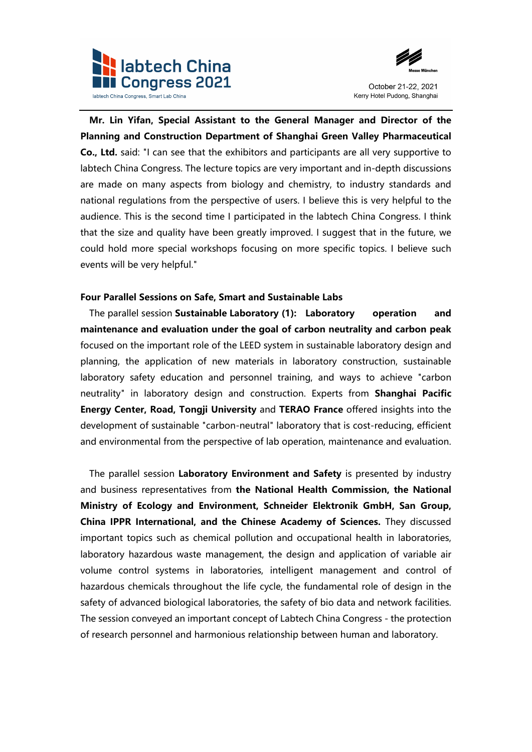



**Mr. Lin Yifan, Special Assistant to the General Manager and Director of the Planning and Construction Department of Shanghai Green Valley Pharmaceutical Co., Ltd.** said: "I can see that the exhibitors and participants are all very supportive to labtech China Congress. The lecture topics are very important and in-depth discussions are made on many aspects from biology and chemistry, to industry standards and national regulations from the perspective of users. I believe this is very helpful to the audience. This is the second time I participated in the labtech China Congress. I think that the size and quality have been greatly improved. I suggest that in the future, we could hold more special workshops focusing on more specific topics. I believe such events will be very helpful."

## **Four Parallel Sessions on Safe, Smart and Sustainable Labs**

The parallel session **Sustainable Laboratory (1): Laboratory operation and maintenance and evaluation under the goal of carbon neutrality and carbon peak** focused on the important role of the LEED system in sustainable laboratory design and planning, the application of new materials in laboratory construction, sustainable laboratory safety education and personnel training, and ways to achieve "carbon neutrality" in laboratory design and construction. Experts from **Shanghai Pacific Energy Center, Road, Tongji University** and **TERAO France** offered insights into the development of sustainable "carbon-neutral" laboratory that is cost-reducing, efficient and environmental from the perspective of lab operation, maintenance and evaluation.

The parallel session **Laboratory Environment and Safety** is presented by industry and business representatives from **the National Health Commission, the National Ministry of Ecology and Environment, Schneider Elektronik GmbH, San Group, China IPPR International, and the Chinese Academy of Sciences.** They discussed important topics such as chemical pollution and occupational health in laboratories, laboratory hazardous waste management, the design and application of variable air volume control systems in laboratories, intelligent management and control of hazardous chemicals throughout the life cycle, the fundamental role of design in the safety of advanced biological laboratories, the safety of bio data and network facilities. The session conveyed an important concept of Labtech China Congress - the protection of research personnel and harmonious relationship between human and laboratory.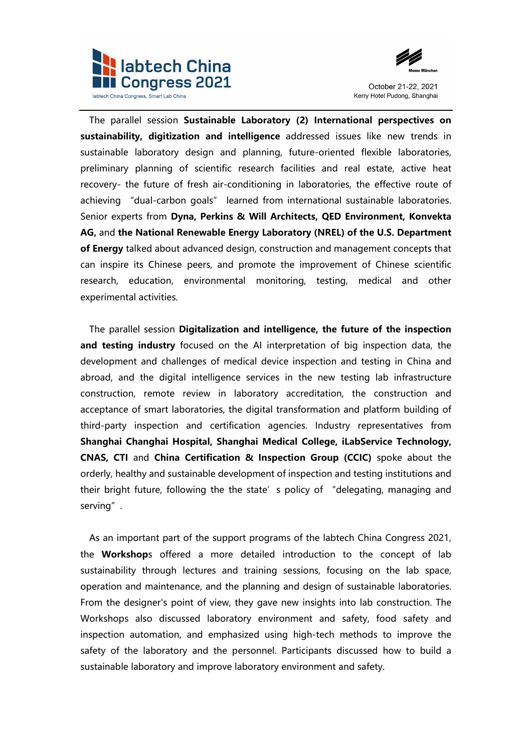



The parallel session **Sustainable Laboratory (2) International perspectives on sustainability, digitization and intelligence** addressed issues like new trends in sustainable laboratory design and planning, future-oriented flexible laboratories, preliminary planning of scientific research facilities and real estate, active heat recovery- the future of fresh air-conditioning in laboratories, the effective route of achieving "dual-carbon goals" learned from international sustainable laboratories. Senior experts from **Dyna, Perkins & Will Architects, QED Environment, Konvekta AG,** and **the National Renewable Energy Laboratory (NREL) of the U.S. Department of Energy** talked about advanced design, construction and management concepts that can inspire its Chinese peers, and promote the improvement of Chinese scientific research, education, environmental monitoring, testing, medical and other experimental activities.

The parallel session **Digitalization and intelligence, the future of the inspection and testing industry** focused on the AI interpretation of big inspection data, the development and challenges of medical device inspection and testing in China and abroad, and the digital intelligence services in the new testing lab infrastructure construction, remote review in laboratory accreditation, the construction and acceptance of smart laboratories, the digital transformation and platform building of third-party inspection and certification agencies. Industry representatives from **Shanghai Changhai Hospital, Shanghai Medical College, iLabService Technology, CNAS, CTI** and **China Certification & Inspection Group (CCIC)** spoke about the orderly, healthy and sustainable development of inspection and testing institutions and their bright future, following the the state's policy of "delegating, managing and serving".

As an important part of the support programs of the labtech China Congress 2021, the **Workshop**s offered a more detailed introduction to the concept of lab sustainability through lectures and training sessions, focusing on the lab space, operation and maintenance, and the planning and design of sustainable laboratories. From the designer's point of view, they gave new insights into lab construction. The Workshops also discussed laboratory environment and safety, food safety and inspection automation, and emphasized using high-tech methods to improve the safety of the laboratory and the personnel. Participants discussed how to build a sustainable laboratory and improve laboratory environment and safety.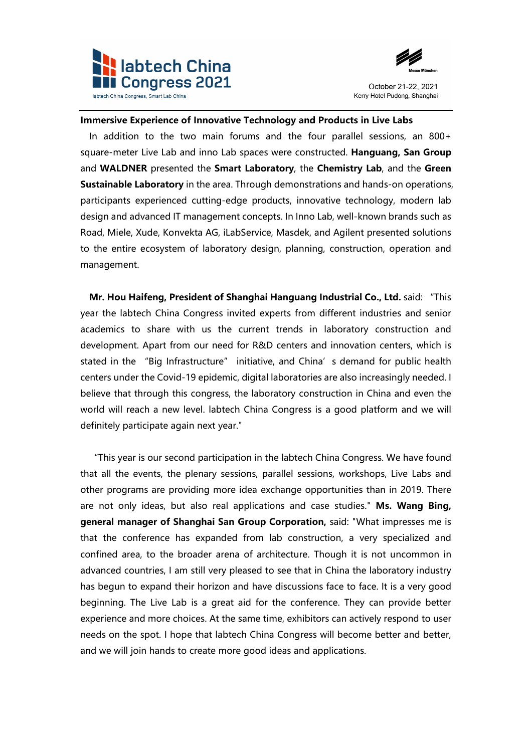



## **Immersive Experience of Innovative Technology and Products in Live Labs**

In addition to the two main forums and the four parallel sessions, an 800+ square-meter Live Lab and inno Lab spaces were constructed. **Hanguang, San Group**  and **WALDNER** presented the **Smart Laboratory**, the **Chemistry Lab**, and the **Green Sustainable Laboratory** in the area. Through demonstrations and hands-on operations, participants experienced cutting-edge products, innovative technology, modern lab design and advanced IT management concepts. In Inno Lab, well-known brands such as Road, Miele, Xude, Konvekta AG, iLabService, Masdek, and Agilent presented solutions to the entire ecosystem of laboratory design, planning, construction, operation and management.

**Mr. Hou Haifeng, President of Shanghai Hanguang Industrial Co., Ltd.** said: "This year the labtech China Congress invited experts from different industries and senior academics to share with us the current trends in laboratory construction and development. Apart from our need for R&D centers and innovation centers, which is stated in the "Big Infrastructure" initiative, and China's demand for public health centers under the Covid-19 epidemic, digital laboratories are also increasingly needed. I believe that through this congress, the laboratory construction in China and even the world will reach a new level. labtech China Congress is a good platform and we will definitely participate again next year."

"This year is our second participation in the labtech China Congress. We have found that all the events, the plenary sessions, parallel sessions, workshops, Live Labs and other programs are providing more idea exchange opportunities than in 2019. There are not only ideas, but also real applications and case studies." **Ms. Wang Bing, general manager of Shanghai San Group Corporation,** said: "What impresses me is that the conference has expanded from lab construction, a very specialized and confined area, to the broader arena of architecture. Though it is not uncommon in advanced countries, I am still very pleased to see that in China the laboratory industry has begun to expand their horizon and have discussions face to face. It is a very good beginning. The Live Lab is a great aid for the conference. They can provide better experience and more choices. At the same time, exhibitors can actively respond to user needs on the spot. I hope that labtech China Congress will become better and better, and we will join hands to create more good ideas and applications.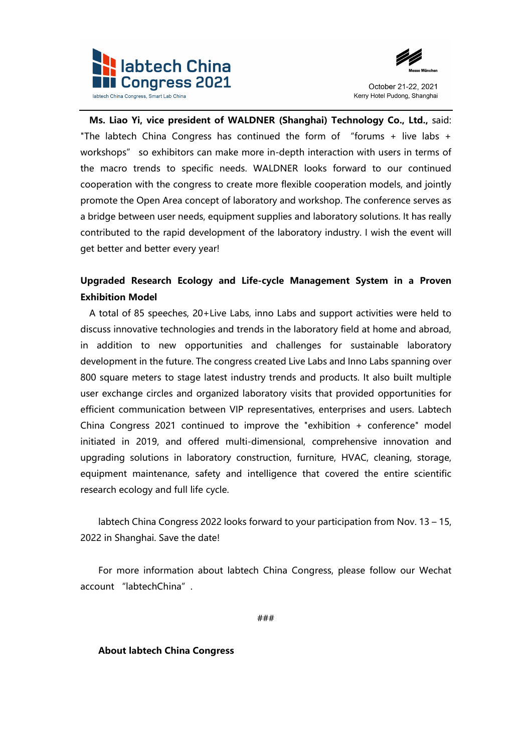



**Ms. Liao Yi, vice president of WALDNER (Shanghai) Technology Co., Ltd.,** said: "The labtech China Congress has continued the form of "forums + live labs + workshops" so exhibitors can make more in-depth interaction with users in terms of the macro trends to specific needs. WALDNER looks forward to our continued cooperation with the congress to create more flexible cooperation models, and jointly promote the Open Area concept of laboratory and workshop. The conference serves as a bridge between user needs, equipment supplies and laboratory solutions. It has really contributed to the rapid development of the laboratory industry. I wish the event will get better and better every year!

# **Upgraded Research Ecology and Life-cycle Management System in a Proven Exhibition Model**

A total of 85 speeches, 20+Live Labs, inno Labs and support activities were held to discuss innovative technologies and trends in the laboratory field at home and abroad, in addition to new opportunities and challenges for sustainable laboratory development in the future. The congress created Live Labs and Inno Labs spanning over 800 square meters to stage latest industry trends and products. It also built multiple user exchange circles and organized laboratory visits that provided opportunities for efficient communication between VIP representatives, enterprises and users. Labtech China Congress 2021 continued to improve the "exhibition + conference" model initiated in 2019, and offered multi-dimensional, comprehensive innovation and upgrading solutions in laboratory construction, furniture, HVAC, cleaning, storage, equipment maintenance, safety and intelligence that covered the entire scientific research ecology and full life cycle.

labtech China Congress 2022 looks forward to your participation from Nov. 13 – 15, 2022 in Shanghai. Save the date!

For more information about labtech China Congress, please follow our Wechat account "labtechChina".

###

## **About labtech China Congress**